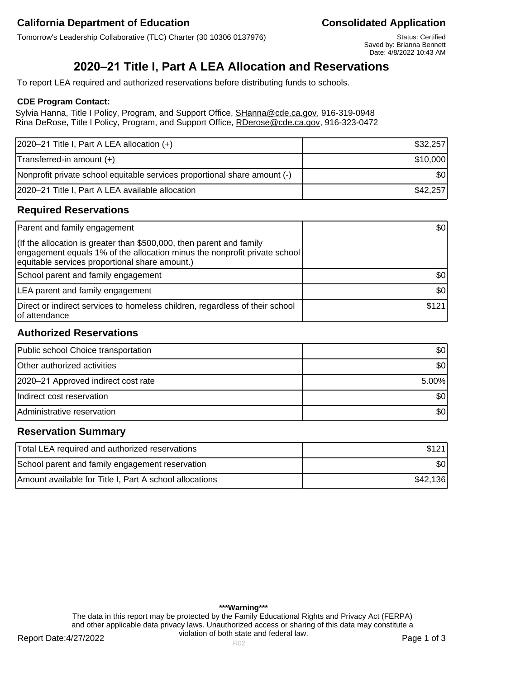Tomorrow's Leadership Collaborative (TLC) Charter (30 10306 0137976) Status: Certified

Saved by: Brianna Bennett Date: 4/8/2022 10:43 AM

# **2020–21 Title I, Part A LEA Allocation and Reservations**

To report LEA required and authorized reservations before distributing funds to schools.

#### **CDE Program Contact:**

Sylvia Hanna, Title I Policy, Program, and Support Office, SHanna@cde.ca.gov, 916-319-0948 Rina DeRose, Title I Policy, Program, and Support Office, RDerose@cde.ca.gov, 916-323-0472

| 2020-21 Title I, Part A LEA allocation (+)                                | \$32,257         |
|---------------------------------------------------------------------------|------------------|
| Transferred-in amount (+)                                                 | \$10,000         |
| Nonprofit private school equitable services proportional share amount (-) | \$0 <sub>1</sub> |
| 2020-21 Title I, Part A LEA available allocation                          | \$42,257         |

## **Required Reservations**

| Parent and family engagement                                                                                                                                                                        | \$0              |
|-----------------------------------------------------------------------------------------------------------------------------------------------------------------------------------------------------|------------------|
| (If the allocation is greater than \$500,000, then parent and family<br>engagement equals 1% of the allocation minus the nonprofit private school<br>equitable services proportional share amount.) |                  |
| School parent and family engagement                                                                                                                                                                 | \$0 <sub>1</sub> |
| LEA parent and family engagement                                                                                                                                                                    | \$0              |
| Direct or indirect services to homeless children, regardless of their school<br>lof attendance                                                                                                      | \$121            |

## **Authorized Reservations**

| Public school Choice transportation | 30       |
|-------------------------------------|----------|
| Other authorized activities         | \$0      |
| 2020–21 Approved indirect cost rate | $5.00\%$ |
| Indirect cost reservation           | \$0      |
| Administrative reservation          | \$0      |

## **Reservation Summary**

| Total LEA required and authorized reservations          | \$121    |
|---------------------------------------------------------|----------|
| School parent and family engagement reservation         | \$0      |
| Amount available for Title I, Part A school allocations | \$42,136 |

**\*\*\*Warning\*\*\*** The data in this report may be protected by the Family Educational Rights and Privacy Act (FERPA) and other applicable data privacy laws. Unauthorized access or sharing of this data may constitute a violation of both state and federal law.

Report Date:4/27/2022 **Page 1 of 3** Report Date:4/27/2022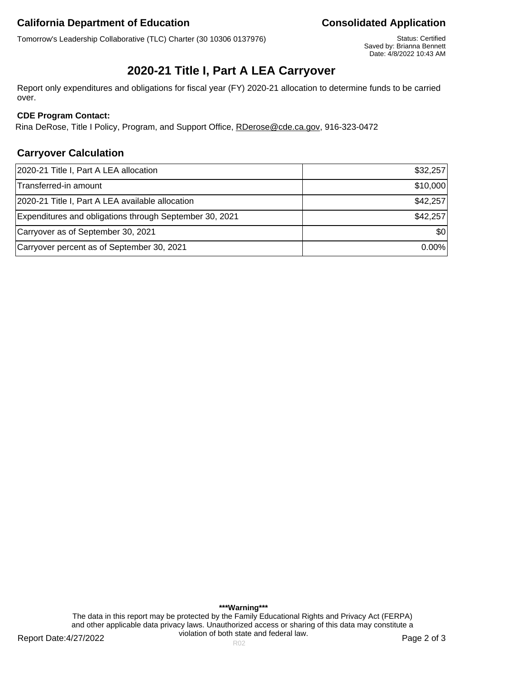Tomorrow's Leadership Collaborative (TLC) Charter (30 10306 0137976) Status: Certified

Saved by: Brianna Bennett Date: 4/8/2022 10:43 AM

# **2020-21 Title I, Part A LEA Carryover**

Report only expenditures and obligations for fiscal year (FY) 2020-21 allocation to determine funds to be carried over.

## **CDE Program Contact:**

Rina DeRose, Title I Policy, Program, and Support Office, RDerose@cde.ca.gov, 916-323-0472

## **Carryover Calculation**

| 2020-21 Title I, Part A LEA allocation                  | \$32,257 |
|---------------------------------------------------------|----------|
| Transferred-in amount                                   | \$10,000 |
| 2020-21 Title I, Part A LEA available allocation        | \$42,257 |
| Expenditures and obligations through September 30, 2021 | \$42,257 |
| Carryover as of September 30, 2021                      | \$0      |
| Carryover percent as of September 30, 2021              | $0.00\%$ |

Report Date:4/27/2022 **Page 2 of 3** Report Date:4/27/2022 **\*\*\*Warning\*\*\*** The data in this report may be protected by the Family Educational Rights and Privacy Act (FERPA) and other applicable data privacy laws. Unauthorized access or sharing of this data may constitute a violation of both state and federal law.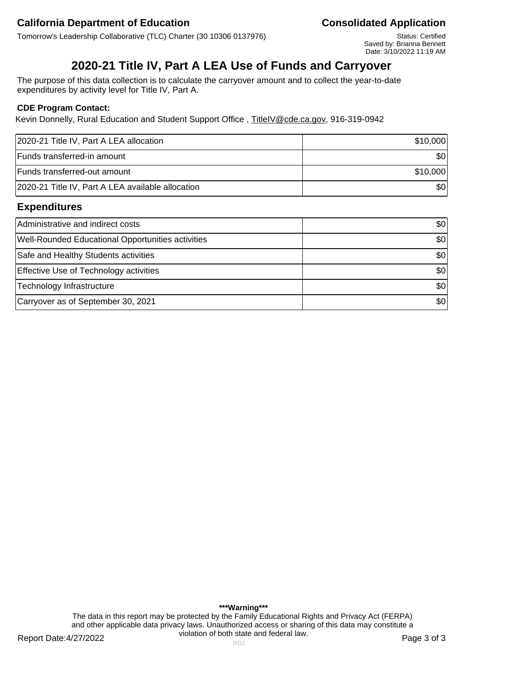Tomorrow's Leadership Collaborative (TLC) Charter (30 10306 0137976) Status: Certified

Saved by: Brianna Bennett Date: 3/10/2022 11:19 AM

# **2020-21 Title IV, Part A LEA Use of Funds and Carryover**

The purpose of this data collection is to calculate the carryover amount and to collect the year-to-date expenditures by activity level for Title IV, Part A.

### **CDE Program Contact:**

Kevin Donnelly, Rural Education and Student Support Office, TitleIV@cde.ca.gov, 916-319-0942

| 2020-21 Title IV, Part A LEA allocation           | \$10,000 |
|---------------------------------------------------|----------|
| Funds transferred-in amount                       | \$0      |
| Funds transferred-out amount                      | \$10,000 |
| 2020-21 Title IV, Part A LEA available allocation | \$0      |

## **Expenditures**

| Administrative and indirect costs                        | 30               |
|----------------------------------------------------------|------------------|
| <b>Well-Rounded Educational Opportunities activities</b> | \$0 <sub>1</sub> |
| Safe and Healthy Students activities                     | \$0              |
| <b>Effective Use of Technology activities</b>            | \$0              |
| Technology Infrastructure                                | \$0              |
| Carryover as of September 30, 2021                       | \$0              |

Report Date:4/27/2022 **Page 3 of 3** Report Date:4/27/2022 **\*\*\*Warning\*\*\*** The data in this report may be protected by the Family Educational Rights and Privacy Act (FERPA) and other applicable data privacy laws. Unauthorized access or sharing of this data may constitute a violation of both state and federal law.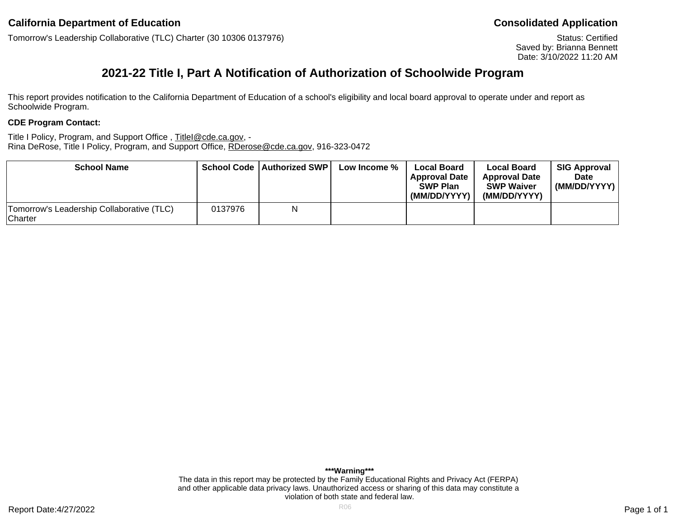Tomorrow's Leadership Collaborative (TLC) Charter (30 10306 0137976)

Status: Certified Saved by: Brianna Bennett Date: 3/10/2022 11:20 AM

# **2021-22 Title I, Part A Notification of Authorization of Schoolwide Program**

This report provides notification to the California Department of Education of a school's eligibility and local board approval to operate under and report as Schoolwide Program.

#### **CDE Program Contact:**

Title I Policy, Program, and Support Office, TitleI@cde.ca.gov, -Rina DeRose, Title I Policy, Program, and Support Office, RDerose@cde.ca.gov, 916-323-0472

| <b>School Name</b>                                          |         | <b>School Code   Authorized SWP  </b> | Low Income % | <b>Local Board</b><br>l Approval Date<br><b>SWP Plan</b><br>(MM/DD/YYYY) | <b>Local Board</b><br><b>Approval Date</b><br><b>SWP Waiver</b><br>(MM/DD/YYYY) | <b>SIG Approval</b><br><b>Date</b><br>(MM/DD/YYYY) |
|-------------------------------------------------------------|---------|---------------------------------------|--------------|--------------------------------------------------------------------------|---------------------------------------------------------------------------------|----------------------------------------------------|
| Tomorrow's Leadership Collaborative (TLC)<br><b>Charter</b> | 0137976 | N                                     |              |                                                                          |                                                                                 |                                                    |

**\*\*\*Warning\*\*\*** The data in this report may be protected by the Family Educational Rights and Privacy Act (FERPA) and other applicable data privacy laws. Unauthorized access or sharing of this data may constitute a violation of both state and federal law.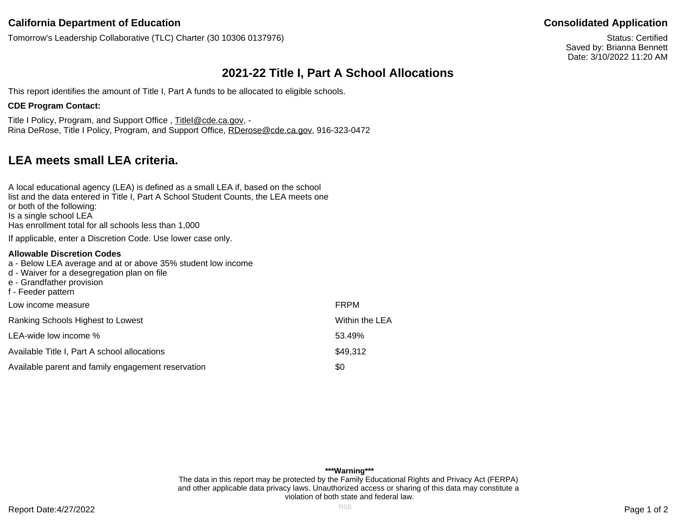Tomorrow's Leadership Collaborative (TLC) Charter (30 10306 0137976)

Status: Certified Saved by: Brianna Bennett Date: 3/10/2022 11:20 AM

# **2021-22 Title I, Part A School Allocations**

This report identifies the amount of Title I, Part A funds to be allocated to eligible schools.

### **CDE Program Contact:**

Title I Policy, Program, and Support Office, TitleI@cde.ca.gov, -Rina DeRose, Title I Policy, Program, and Support Office, RDerose@cde.ca.gov, 916-323-0472

# **LEA meets small LEA criteria.**

| A local educational agency (LEA) is defined as a small LEA if, based on the school<br>list and the data entered in Title I, Part A School Student Counts, the LEA meets one<br>or both of the following:<br>Is a single school LEA<br>Has enrollment total for all schools less than 1,000 |                |
|--------------------------------------------------------------------------------------------------------------------------------------------------------------------------------------------------------------------------------------------------------------------------------------------|----------------|
| If applicable, enter a Discretion Code. Use lower case only.                                                                                                                                                                                                                               |                |
| Allowable Discretion Codes<br>a - Below LEA average and at or above 35% student low income<br>d - Waiver for a desegregation plan on file<br>e - Grandfather provision<br>f - Feeder pattern                                                                                               |                |
| Low income measure                                                                                                                                                                                                                                                                         | <b>FRPM</b>    |
| Ranking Schools Highest to Lowest                                                                                                                                                                                                                                                          | Within the LEA |
| LEA-wide low income %                                                                                                                                                                                                                                                                      | 53.49%         |
| Available Title I, Part A school allocations                                                                                                                                                                                                                                               | \$49,312       |
| Available parent and family engagement reservation                                                                                                                                                                                                                                         | \$0            |

Report Date:4/27/2022 Page 1 of 2 **\*\*\*Warning\*\*\*** The data in this report may be protected by the Family Educational Rights and Privacy Act (FERPA) and other applicable data privacy laws. Unauthorized access or sharing of this data may constitute a violation of both state and federal law.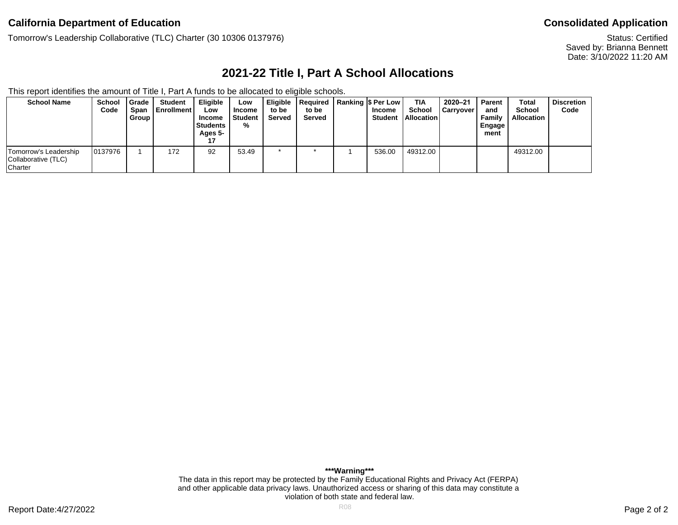Tomorrow's Leadership Collaborative (TLC) Charter (30 10306 0137976)

Status: Certified Saved by: Brianna Bennett Date: 3/10/2022 11:20 AM

# **2021-22 Title I, Part A School Allocations**

This report identifies the amount of Title I, Part A funds to be allocated to eligible schools.

| <b>School Name</b>                                             | <b>School</b><br>Code | <b>Grade</b><br><b>Span</b><br>Group I | Student<br><b>I</b> Enrollment | <b>Eligible</b><br>Low<br>Income<br><b>Students</b><br>Ages 5- | Low<br>Income<br>Student<br>% | to be<br>Served | Eligible   Required   Ranking  \$ Per Low<br>to be<br>Served | Income<br><b>Student</b> | TIA<br>School<br><b>Allocation</b> | 2020-21<br><b>Carryover</b> | <b>Parent</b><br>and<br>Family<br>Engage<br>ment | Total<br><b>School</b><br><b>Allocation</b> | <b>Discretion</b><br>Code |
|----------------------------------------------------------------|-----------------------|----------------------------------------|--------------------------------|----------------------------------------------------------------|-------------------------------|-----------------|--------------------------------------------------------------|--------------------------|------------------------------------|-----------------------------|--------------------------------------------------|---------------------------------------------|---------------------------|
| Tomorrow's Leadership<br>Collaborative (TLC)<br><b>Charter</b> | 0137976               |                                        | 172                            | 92                                                             | 53.49                         |                 |                                                              | 536.00                   | 49312.00                           |                             |                                                  | 49312.00                                    |                           |

**\*\*\*Warning\*\*\*** The data in this report may be protected by the Family Educational Rights and Privacy Act (FERPA) and other applicable data privacy laws. Unauthorized access or sharing of this data may constitute a violation of both state and federal law.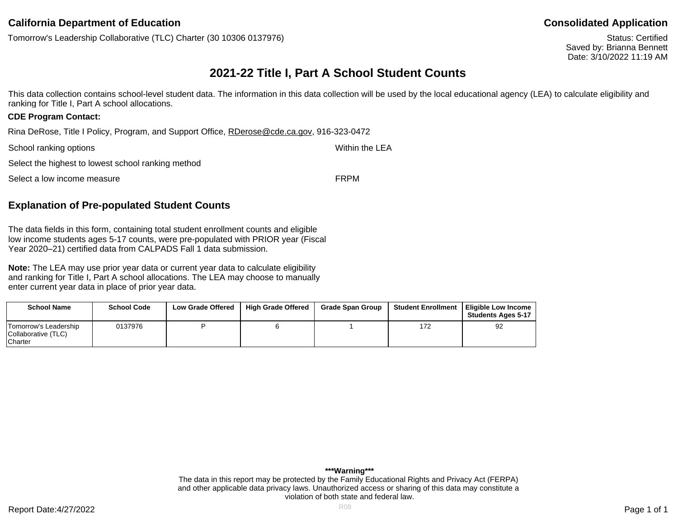Tomorrow's Leadership Collaborative (TLC) Charter (30 10306 0137976)

Status: Certified Saved by: Brianna Bennett Date: 3/10/2022 11:19 AM

# **2021-22 Title I, Part A School Student Counts**

This data collection contains school-level student data. The information in this data collection will be used by the local educational agency (LEA) to calculate eligibility and ranking for Title I, Part A school allocations.

#### **CDE Program Contact:**

Rina DeRose, Title I Policy, Program, and Support Office, RDerose@cde.ca.gov, 916-323-0472

| School ranking options                             | Within the LEA |
|----------------------------------------------------|----------------|
| Select the highest to lowest school ranking method |                |
| Select a low income measure                        | <b>FRPM</b>    |

## **Explanation of Pre-populated Student Counts**

The data fields in this form, containing total student enrollment counts and eligible low income students ages 5-17 counts, were pre-populated with PRIOR year (Fiscal Year 2020–21) certified data from CALPADS Fall 1 data submission.

**Note:** The LEA may use prior year data or current year data to calculate eligibility and ranking for Title I, Part A school allocations. The LEA may choose to manually enter current year data in place of prior year data.

| <b>School Name</b>                                       | <b>School Code</b> | <b>Low Grade Offered</b> | <b>High Grade Offered</b> | <b>Grade Span Group</b> | <b>Student Enrollment</b> | I Eliaible Low Income<br><b>Students Ages 5-17</b> |
|----------------------------------------------------------|--------------------|--------------------------|---------------------------|-------------------------|---------------------------|----------------------------------------------------|
| 'Tomorrow's Leadership<br>Collaborative (TLC)<br>Charter | 0137976            |                          |                           |                         | 172                       | 92                                                 |

**\*\*\*Warning\*\*\*** The data in this report may be protected by the Family Educational Rights and Privacy Act (FERPA) and other applicable data privacy laws. Unauthorized access or sharing of this data may constitute a violation of both state and federal law.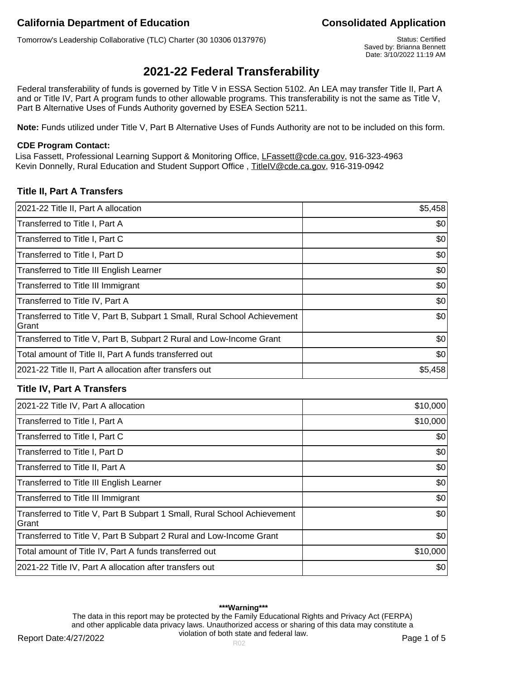Tomorrow's Leadership Collaborative (TLC) Charter (30 10306 0137976) Status: Certified

Saved by: Brianna Bennett Date: 3/10/2022 11:19 AM

# **2021-22 Federal Transferability**

Federal transferability of funds is governed by Title V in ESSA Section 5102. An LEA may transfer Title II, Part A and or Title IV, Part A program funds to other allowable programs. This transferability is not the same as Title V, Part B Alternative Uses of Funds Authority governed by ESEA Section 5211.

**Note:** Funds utilized under Title V, Part B Alternative Uses of Funds Authority are not to be included on this form.

#### **CDE Program Contact:**

Lisa Fassett, Professional Learning Support & Monitoring Office, LFassett@cde.ca.gov, 916-323-4963 Kevin Donnelly, Rural Education and Student Support Office , TitleIV@cde.ca.gov, 916-319-0942

## **Title II, Part A Transfers**

| 2021-22 Title II, Part A allocation                                                 | \$5,458 |
|-------------------------------------------------------------------------------------|---------|
| Transferred to Title I, Part A                                                      | \$0     |
| Transferred to Title I, Part C                                                      | \$0     |
| Transferred to Title I, Part D                                                      | \$0     |
| Transferred to Title III English Learner                                            | \$0     |
| Transferred to Title III Immigrant                                                  | \$0     |
| Transferred to Title IV, Part A                                                     | \$0     |
| Transferred to Title V, Part B, Subpart 1 Small, Rural School Achievement<br>lGrant | \$0     |
| Transferred to Title V, Part B, Subpart 2 Rural and Low-Income Grant                | \$0     |
| Total amount of Title II, Part A funds transferred out                              | \$0     |
| 2021-22 Title II, Part A allocation after transfers out                             | \$5,458 |

## **Title IV, Part A Transfers**

| 2021-22 Title IV, Part A allocation                                                | \$10,000 |
|------------------------------------------------------------------------------------|----------|
| Transferred to Title I, Part A                                                     | \$10,000 |
| Transferred to Title I, Part C                                                     | \$0      |
| Transferred to Title I, Part D                                                     | \$0      |
| Transferred to Title II, Part A                                                    | \$0      |
| Transferred to Title III English Learner                                           | \$0      |
| Transferred to Title III Immigrant                                                 | \$0      |
| Transferred to Title V, Part B Subpart 1 Small, Rural School Achievement<br>lGrant | \$0      |
| Transferred to Title V, Part B Subpart 2 Rural and Low-Income Grant                | \$0      |
| Total amount of Title IV, Part A funds transferred out                             | \$10,000 |
| 2021-22 Title IV, Part A allocation after transfers out                            | \$0      |

#### **\*\*\*Warning\*\*\***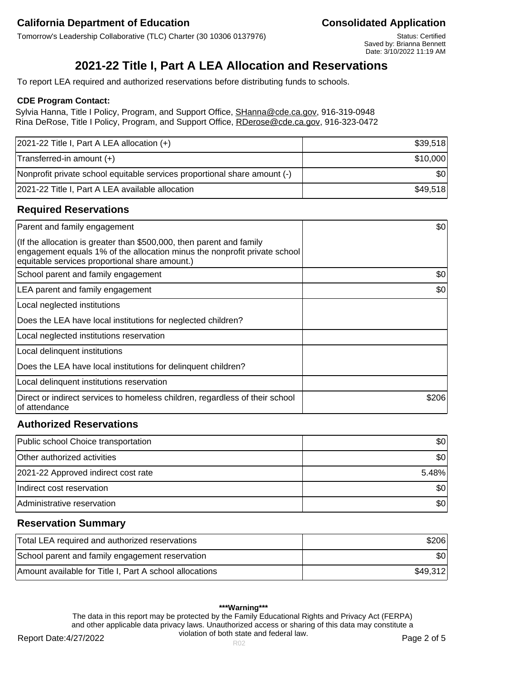Tomorrow's Leadership Collaborative (TLC) Charter (30 10306 0137976) Status: Certified

Saved by: Brianna Bennett Date: 3/10/2022 11:19 AM

# **2021-22 Title I, Part A LEA Allocation and Reservations**

To report LEA required and authorized reservations before distributing funds to schools.

#### **CDE Program Contact:**

Sylvia Hanna, Title I Policy, Program, and Support Office, SHanna@cde.ca.gov, 916-319-0948 Rina DeRose, Title I Policy, Program, and Support Office, RDerose@cde.ca.gov, 916-323-0472

| $ 2021-22$ Title I, Part A LEA allocation $(+)$                           | \$39,518  |
|---------------------------------------------------------------------------|-----------|
| Transferred-in amount (+)                                                 | \$10,000  |
| Nonprofit private school equitable services proportional share amount (-) | <b>SO</b> |
| 2021-22 Title I, Part A LEA available allocation                          | \$49,518  |

## **Required Reservations**

| Parent and family engagement                                                                                                                                                                        | \$0   |
|-----------------------------------------------------------------------------------------------------------------------------------------------------------------------------------------------------|-------|
| (If the allocation is greater than \$500,000, then parent and family<br>engagement equals 1% of the allocation minus the nonprofit private school<br>equitable services proportional share amount.) |       |
| School parent and family engagement                                                                                                                                                                 | \$0   |
| LEA parent and family engagement                                                                                                                                                                    | \$0   |
| Local neglected institutions                                                                                                                                                                        |       |
| Does the LEA have local institutions for neglected children?                                                                                                                                        |       |
| Local neglected institutions reservation                                                                                                                                                            |       |
| Local delinquent institutions                                                                                                                                                                       |       |
| Does the LEA have local institutions for delinquent children?                                                                                                                                       |       |
| Local delinquent institutions reservation                                                                                                                                                           |       |
| Direct or indirect services to homeless children, regardless of their school<br>of attendance                                                                                                       | \$206 |

# **Authorized Reservations**

| Public school Choice transportation | \$01             |
|-------------------------------------|------------------|
| Other authorized activities         | \$01             |
| 2021-22 Approved indirect cost rate | 5.48%            |
| Indirect cost reservation           | \$0 <sub>1</sub> |
| Administrative reservation          | \$0 <sub>1</sub> |

## **Reservation Summary**

| Total LEA required and authorized reservations          | \$206    |
|---------------------------------------------------------|----------|
| School parent and family engagement reservation         | \$0      |
| Amount available for Title I, Part A school allocations | \$49,312 |

#### **\*\*\*Warning\*\*\***

The data in this report may be protected by the Family Educational Rights and Privacy Act (FERPA) and other applicable data privacy laws. Unauthorized access or sharing of this data may constitute a violation of both state and federal law.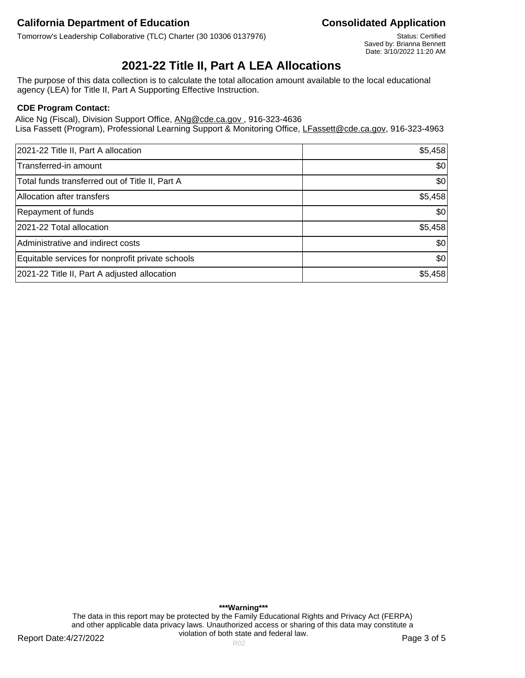Tomorrow's Leadership Collaborative (TLC) Charter (30 10306 0137976) Status: Certified

Saved by: Brianna Bennett Date: 3/10/2022 11:20 AM

# **2021-22 Title II, Part A LEA Allocations**

The purpose of this data collection is to calculate the total allocation amount available to the local educational agency (LEA) for Title II, Part A Supporting Effective Instruction.

### **CDE Program Contact:**

Alice Ng (Fiscal), Division Support Office, ANg@cde.ca.gov., 916-323-4636 Lisa Fassett (Program), Professional Learning Support & Monitoring Office, LFassett@cde.ca.gov, 916-323-4963

| 2021-22 Title II, Part A allocation              | \$5,458 |
|--------------------------------------------------|---------|
| Transferred-in amount                            | \$0     |
| Total funds transferred out of Title II, Part A  | \$0     |
| Allocation after transfers                       | \$5,458 |
| Repayment of funds                               | \$0     |
| 2021-22 Total allocation                         | \$5,458 |
| Administrative and indirect costs                | \$0     |
| Equitable services for nonprofit private schools | \$0     |
| 2021-22 Title II, Part A adjusted allocation     | \$5,458 |

**\*\*\*Warning\*\*\*** The data in this report may be protected by the Family Educational Rights and Privacy Act (FERPA) and other applicable data privacy laws. Unauthorized access or sharing of this data may constitute a violation of both state and federal law.

Report Date:4/27/2022 **Page 3 of 5** Report Date:4/27/2022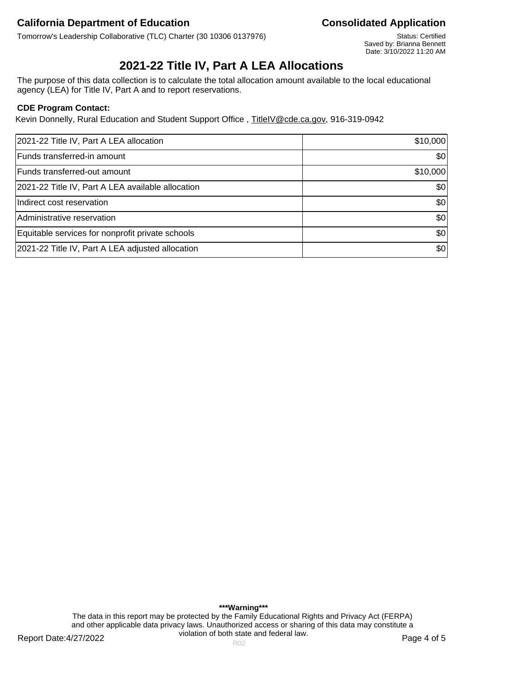Tomorrow's Leadership Collaborative (TLC) Charter (30 10306 0137976) Status: Certified

Saved by: Brianna Bennett Date: 3/10/2022 11:20 AM

# **2021-22 Title IV, Part A LEA Allocations**

The purpose of this data collection is to calculate the total allocation amount available to the local educational agency (LEA) for Title IV, Part A and to report reservations.

### **CDE Program Contact:**

Kevin Donnelly, Rural Education and Student Support Office, TitleIV@cde.ca.gov, 916-319-0942

| 2021-22 Title IV, Part A LEA allocation           | \$10,000 |
|---------------------------------------------------|----------|
| Funds transferred-in amount                       | \$0      |
| Funds transferred-out amount                      | \$10,000 |
| 2021-22 Title IV, Part A LEA available allocation | \$0      |
| Indirect cost reservation                         | \$0      |
| Administrative reservation                        | \$0      |
| Equitable services for nonprofit private schools  | \$0      |
| 2021-22 Title IV, Part A LEA adjusted allocation  | \$0      |

Report Date:4/27/2022 **Page 4 of 5** Report Date:4/27/2022 **\*\*\*Warning\*\*\*** The data in this report may be protected by the Family Educational Rights and Privacy Act (FERPA) and other applicable data privacy laws. Unauthorized access or sharing of this data may constitute a violation of both state and federal law.